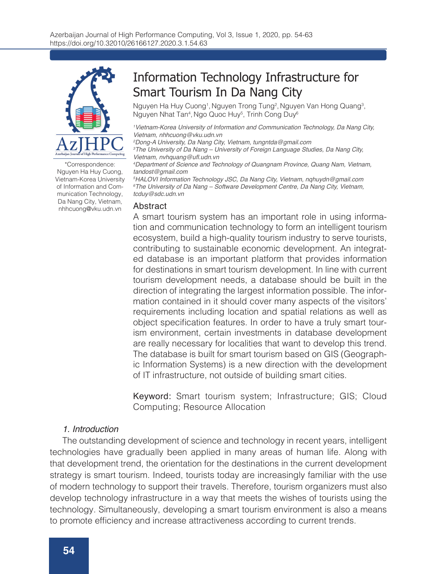

\*Correspondence: Nguyen Ha Huy Cuong, Vietnam-Korea University of Information and Communication Technology, Da Nang City, Vietnam, nhhcuong@vku.udn.vn Abstract

# Information Technology Infrastructure for Smart Tourism In Da Nang City

Nguyen Ha Huy Cuong<sup>1</sup>, Nguyen Trong Tung<sup>2</sup>, Nguyen Van Hong Quang<sup>3</sup>, Nguyen Nhat Tan<sup>4</sup>, Ngo Quoc Huy<sup>5</sup>, Trinh Cong Duy<sup>e</sup>

*1 Vietnam-Korea University of Information and Communication Technology, Da Nang City, Vietnam, nhhcuong@vku.udn.vn*

*2 Dong-A University, Da Nang City, Vietnam, tungntda@gmail.com*

*3 The University of Da Nang – University of Foreign Language Studies, Da Nang City,*  Vietnam, nvhquang@ufl.udn.vn

*4 Department of Science and Technology of Quangnam Province, Quang Nam, Vietnam, tandost@gmail.com*

*5 HALOVI Information Technology JSC, Da Nang City, Vietnam, nqhuydn@gmail.com 6 The University of Da Nang – Software Development Centre, Da Nang City, Vietnam, tcduy@sdc.udn.vn*

A smart tourism system has an important role in using information and communication technology to form an intelligent tourism ecosystem, build a high-quality tourism industry to serve tourists, contributing to sustainable economic development. An integrated database is an important platform that provides information for destinations in smart tourism development. In line with current tourism development needs, a database should be built in the direction of integrating the largest information possible. The information contained in it should cover many aspects of the visitors' requirements including location and spatial relations as well as object specification features. In order to have a truly smart tourism environment, certain investments in database development are really necessary for localities that want to develop this trend. The database is built for smart tourism based on GIS (Geographic Information Systems) is a new direction with the development of IT infrastructure, not outside of building smart cities.

Keyword: Smart tourism system; Infrastructure; GIS; Cloud Computing; Resource Allocation

#### *1. Introduction*

The outstanding development of science and technology in recent years, intelligent technologies have gradually been applied in many areas of human life. Along with that development trend, the orientation for the destinations in the current development strategy is smart tourism. Indeed, tourists today are increasingly familiar with the use of modern technology to support their travels. Therefore, tourism organizers must also develop technology infrastructure in a way that meets the wishes of tourists using the technology. Simultaneously, developing a smart tourism environment is also a means to promote efficiency and increase attractiveness according to current trends.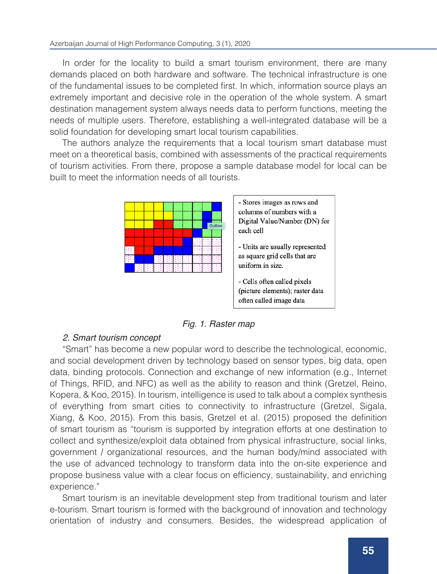In order for the locality to build a smart tourism environment, there are many demands placed on both hardware and software. The technical infrastructure is one of the fundamental issues to be completed first. In which, information source plays an extremely important and decisive role in the operation of the whole system. A smart destination management system always needs data to perform functions, meeting the needs of multiple users. Therefore, establishing a well-integrated database will be a solid foundation for developing smart local tourism capabilities.

The authors analyze the requirements that a local tourism smart database must meet on a theoretical basis, combined with assessments of the practical requirements of tourism activities. From there, propose a sample database model for local can be built to meet the information needs of all tourists.

|  |  |  |  | Outline |
|--|--|--|--|---------|
|  |  |  |  |         |
|  |  |  |  |         |
|  |  |  |  |         |
|  |  |  |  |         |
|  |  |  |  |         |



- Units are usually represented as square grid cells that are uniform in size.
- Cells often called pixels (picture elements); raster data often called image data

*Fig. 1. Raster map*

# *2. Smart tourism concept*

"Smart" has become a new popular word to describe the technological, economic, and social development driven by technology based on sensor types, big data, open data, binding protocols. Connection and exchange of new information (e.g., Internet of Things, RFID, and NFC) as well as the ability to reason and think (Gretzel, Reino, Kopera, & Koo, 2015). In tourism, intelligence is used to talk about a complex synthesis of everything from smart cities to connectivity to infrastructure (Gretzel, Sigala, Xiang, & Koo, 2015). From this basis, Gretzel et al. (2015) proposed the definition of smart tourism as "tourism is supported by integration efforts at one destination to collect and synthesize/exploit data obtained from physical infrastructure, social links, government / organizational resources, and the human body/mind associated with the use of advanced technology to transform data into the on-site experience and propose business value with a clear focus on efficiency, sustainability, and enriching experience."

Smart tourism is an inevitable development step from traditional tourism and later e-tourism. Smart tourism is formed with the background of innovation and technology orientation of industry and consumers. Besides, the widespread application of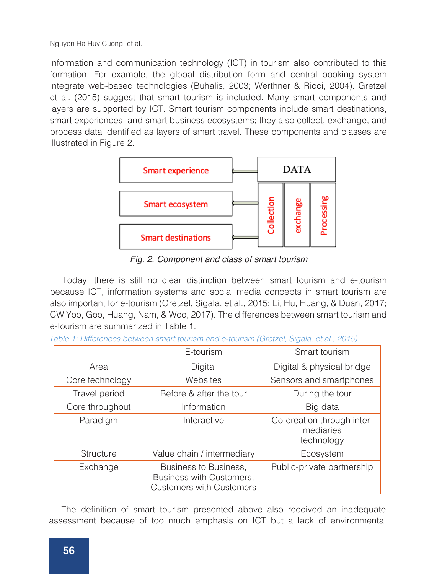information and communication technology (ICT) in tourism also contributed to this formation. For example, the global distribution form and central booking system integrate web-based technologies (Buhalis, 2003; Werthner & Ricci, 2004). Gretzel et al. (2015) suggest that smart tourism is included. Many smart components and layers are supported by ICT. Smart tourism components include smart destinations, smart experiences, and smart business ecosystems; they also collect, exchange, and process data identified as layers of smart travel. These components and classes are illustrated in Figure 2.



*Fig. 2. Component and class of smart tourism*

Today, there is still no clear distinction between smart tourism and e-tourism because ICT, information systems and social media concepts in smart tourism are also important for e-tourism (Gretzel, Sigala, et al., 2015; Li, Hu, Huang, & Duan, 2017; CW Yoo, Goo, Huang, Nam, & Woo, 2017). The differences between smart tourism and e-tourism are summarized in Table 1.

|                  | E-tourism                                                                            | Smart tourism                                         |  |  |  |
|------------------|--------------------------------------------------------------------------------------|-------------------------------------------------------|--|--|--|
| Area             | Digital                                                                              | Digital & physical bridge                             |  |  |  |
| Core technology  | Websites                                                                             | Sensors and smartphones                               |  |  |  |
| Travel period    | Before & after the tour                                                              | During the tour                                       |  |  |  |
| Core throughout  | Information                                                                          | Big data                                              |  |  |  |
| Paradigm         | Interactive                                                                          | Co-creation through inter-<br>mediaries<br>technology |  |  |  |
| <b>Structure</b> | Value chain / intermediary                                                           | Ecosystem                                             |  |  |  |
| Exchange         | Business to Business,<br>Business with Customers,<br><b>Customers with Customers</b> | Public-private partnership                            |  |  |  |

*Table 1: Differences between smart tourism and e-tourism (Gretzel, Sigala, et al., 2015)*

The definition of smart tourism presented above also received an inadequate assessment because of too much emphasis on ICT but a lack of environmental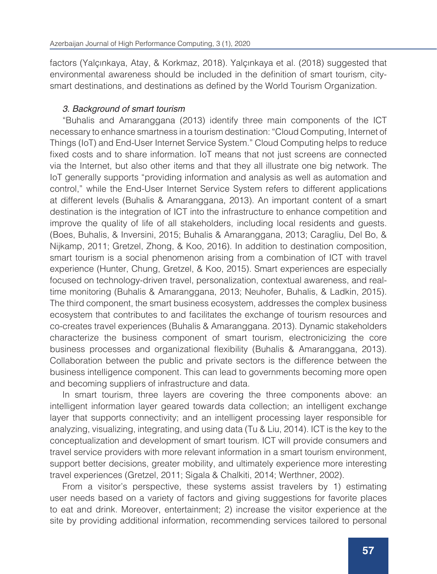factors (Yalçınkaya, Atay, & Korkmaz, 2018). Yalçınkaya et al. (2018) suggested that environmental awareness should be included in the definition of smart tourism, citysmart destinations, and destinations as defined by the World Tourism Organization.

## *3. Background of smart tourism*

"Buhalis and Amaranggana (2013) identify three main components of the ICT necessary to enhance smartness in a tourism destination: "Cloud Computing, Internet of Things (IoT) and End-User Internet Service System." Cloud Computing helps to reduce fixed costs and to share information. IoT means that not just screens are connected via the Internet, but also other items and that they all illustrate one big network. The IoT generally supports "providing information and analysis as well as automation and control," while the End-User Internet Service System refers to different applications at different levels (Buhalis & Amaranggana, 2013). An important content of a smart destination is the integration of ICT into the infrastructure to enhance competition and improve the quality of life of all stakeholders, including local residents and guests. (Boes, Buhalis, & Inversini, 2015; Buhalis & Amaranggana, 2013; Caragliu, Del Bo, & Nijkamp, 2011; Gretzel, Zhong, & Koo, 2016). In addition to destination composition, smart tourism is a social phenomenon arising from a combination of ICT with travel experience (Hunter, Chung, Gretzel, & Koo, 2015). Smart experiences are especially focused on technology-driven travel, personalization, contextual awareness, and realtime monitoring (Buhalis & Amaranggana, 2013; Neuhofer, Buhalis, & Ladkin, 2015). The third component, the smart business ecosystem, addresses the complex business ecosystem that contributes to and facilitates the exchange of tourism resources and co-creates travel experiences (Buhalis & Amaranggana. 2013). Dynamic stakeholders characterize the business component of smart tourism, electronicizing the core business processes and organizational flexibility (Buhalis & Amaranggana, 2013). Collaboration between the public and private sectors is the difference between the business intelligence component. This can lead to governments becoming more open and becoming suppliers of infrastructure and data.

In smart tourism, three layers are covering the three components above: an intelligent information layer geared towards data collection; an intelligent exchange layer that supports connectivity; and an intelligent processing layer responsible for analyzing, visualizing, integrating, and using data (Tu & Liu, 2014). ICT is the key to the conceptualization and development of smart tourism. ICT will provide consumers and travel service providers with more relevant information in a smart tourism environment, support better decisions, greater mobility, and ultimately experience more interesting travel experiences (Gretzel, 2011; Sigala & Chalkiti, 2014; Werthner, 2002).

From a visitor's perspective, these systems assist travelers by 1) estimating user needs based on a variety of factors and giving suggestions for favorite places to eat and drink. Moreover, entertainment; 2) increase the visitor experience at the site by providing additional information, recommending services tailored to personal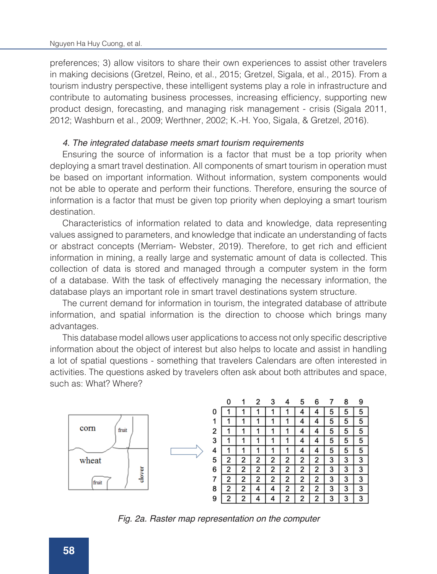preferences; 3) allow visitors to share their own experiences to assist other travelers in making decisions (Gretzel, Reino, et al., 2015; Gretzel, Sigala, et al., 2015). From a tourism industry perspective, these intelligent systems play a role in infrastructure and contribute to automating business processes, increasing efficiency, supporting new product design, forecasting, and managing risk management - crisis (Sigala 2011, 2012; Washburn et al., 2009; Werthner, 2002; K.-H. Yoo, Sigala, & Gretzel, 2016).

#### *4. The integrated database meets smart tourism requirements*

Ensuring the source of information is a factor that must be a top priority when deploying a smart travel destination. All components of smart tourism in operation must be based on important information. Without information, system components would not be able to operate and perform their functions. Therefore, ensuring the source of information is a factor that must be given top priority when deploying a smart tourism destination.

Characteristics of information related to data and knowledge, data representing values assigned to parameters, and knowledge that indicate an understanding of facts or abstract concepts (Merriam- Webster, 2019). Therefore, to get rich and efficient information in mining, a really large and systematic amount of data is collected. This collection of data is stored and managed through a computer system in the form of a database. With the task of effectively managing the necessary information, the database plays an important role in smart travel destinations system structure.

The current demand for information in tourism, the integrated database of attribute information, and spatial information is the direction to choose which brings many advantages.

This database model allows user applications to access not only specific descriptive information about the object of interest but also helps to locate and assist in handling a lot of spatial questions - something that travelers Calendars are often interested in activities. The questions asked by travelers often ask about both attributes and space, such as: What? Where?



|   |   |   | 2 | 3 |   | 5 |   |   | 8 | 9 |
|---|---|---|---|---|---|---|---|---|---|---|
|   |   |   |   |   |   |   |   | 5 | 5 | 5 |
|   |   |   |   |   |   | 4 | 4 | 5 | 5 | 5 |
| 2 |   |   |   |   |   | 4 | 4 | 5 | 5 | 5 |
|   |   |   |   |   |   | 4 |   | 5 | 5 | 5 |
| ļ |   |   |   |   |   | 4 | 4 | 5 | 5 | 5 |
| 5 | 2 | 2 | 2 | 2 | 2 | 2 | 2 | 3 | 3 | 3 |
|   | 2 | 2 | 2 | 2 | 2 | 2 | 2 | 3 | 3 | 3 |
|   | 2 | 2 | 2 | 2 | 2 | 2 | 2 | 3 | 3 | 3 |
|   | 2 | 2 | 4 | 4 | 2 | 2 | 2 | 3 | 3 | 3 |
|   | 2 | 2 |   | Δ | 2 | 2 | 2 | 3 | 3 | 3 |

*Fig. 2a. Raster map representation on the computer*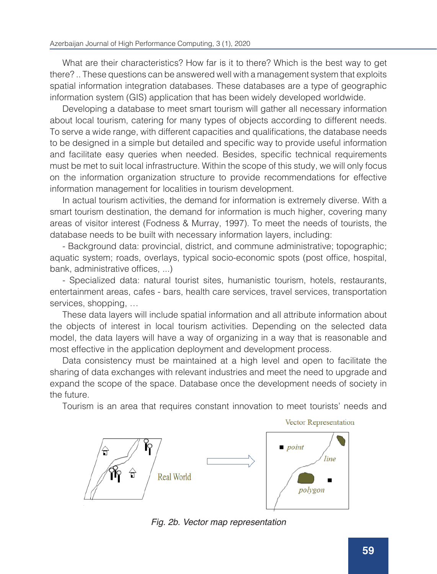What are their characteristics? How far is it to there? Which is the best way to get there? .. These questions can be answered well with a management system that exploits spatial information integration databases. These databases are a type of geographic information system (GIS) application that has been widely developed worldwide.

Developing a database to meet smart tourism will gather all necessary information about local tourism, catering for many types of objects according to different needs. To serve a wide range, with different capacities and qualifications, the database needs to be designed in a simple but detailed and specific way to provide useful information and facilitate easy queries when needed. Besides, specific technical requirements must be met to suit local infrastructure. Within the scope of this study, we will only focus on the information organization structure to provide recommendations for effective information management for localities in tourism development.

In actual tourism activities, the demand for information is extremely diverse. With a smart tourism destination, the demand for information is much higher, covering many areas of visitor interest (Fodness & Murray, 1997). To meet the needs of tourists, the database needs to be built with necessary information layers, including:

- Background data: provincial, district, and commune administrative; topographic; aquatic system; roads, overlays, typical socio-economic spots (post office, hospital, bank, administrative offices, ...)

- Specialized data: natural tourist sites, humanistic tourism, hotels, restaurants, entertainment areas, cafes - bars, health care services, travel services, transportation services, shopping, …

These data layers will include spatial information and all attribute information about the objects of interest in local tourism activities. Depending on the selected data model, the data layers will have a way of organizing in a way that is reasonable and most effective in the application deployment and development process.

Data consistency must be maintained at a high level and open to facilitate the sharing of data exchanges with relevant industries and meet the need to upgrade and expand the scope of the space. Database once the development needs of society in the future.

Tourism is an area that requires constant innovation to meet tourists' needs and



*Fig. 2b. Vector map representation*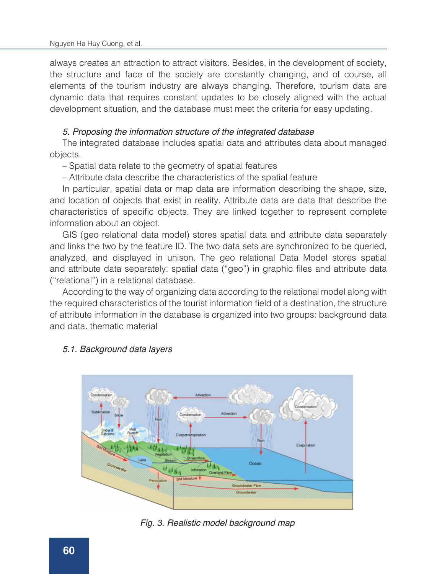always creates an attraction to attract visitors. Besides, in the development of society, the structure and face of the society are constantly changing, and of course, all elements of the tourism industry are always changing. Therefore, tourism data are dynamic data that requires constant updates to be closely aligned with the actual development situation, and the database must meet the criteria for easy updating.

#### *5. Proposing the information structure of the integrated database*

The integrated database includes spatial data and attributes data about managed objects.

– Spatial data relate to the geometry of spatial features

– Attribute data describe the characteristics of the spatial feature

In particular, spatial data or map data are information describing the shape, size, and location of objects that exist in reality. Attribute data are data that describe the characteristics of specific objects. They are linked together to represent complete information about an object.

GIS (geo relational data model) stores spatial data and attribute data separately and links the two by the feature ID. The two data sets are synchronized to be queried, analyzed, and displayed in unison. The geo relational Data Model stores spatial and attribute data separately: spatial data ("geo") in graphic files and attribute data ("relational") in a relational database.

According to the way of organizing data according to the relational model along with the required characteristics of the tourist information field of a destination, the structure of attribute information in the database is organized into two groups: background data and data. thematic material

# *5.1. Background data layers*



*Fig. 3. Realistic model background map*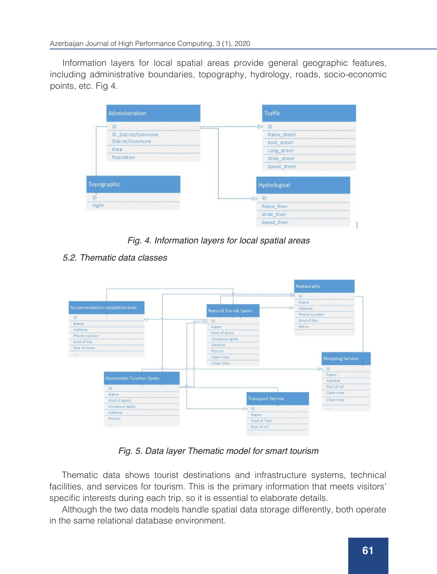Information layers for local spatial areas provide general geographic features, including administrative boundaries, topography, hydrology, roads, socio-economic points, etc. Fig 4.

| Administration      | Traffic        |
|---------------------|----------------|
| ID                  | <b>ID</b><br>⊵ |
| ID_District/Commune | Name_street    |
| District/Commune    | Kind street    |
| Area                | Long street    |
| Population          | Wide street    |
|                     | Speed street   |
| Topographic         | Hydrological   |
| m                   | <b>D</b><br>Ð. |
| Hight               | Name River     |
|                     | Wide River     |
|                     | Speed River    |

*Fig. 4. Information layers for local spatial areas*

*5.2. Thematic data classes*



*Fig. 5. Data layer Thematic model for smart tourism*

Thematic data shows tourist destinations and infrastructure systems, technical facilities, and services for tourism. This is the primary information that meets visitors' specific interests during each trip, so it is essential to elaborate details.

Although the two data models handle spatial data storage differently, both operate in the same relational database environment.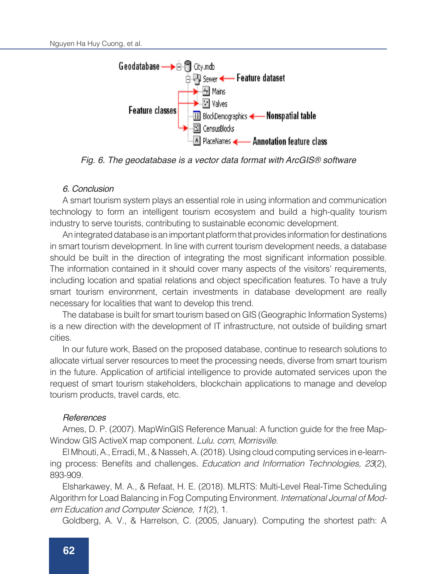

*Fig. 6. The geodatabase is a vector data format with ArcGIS® software*

### *6. Conclusion*

A smart tourism system plays an essential role in using information and communication technology to form an intelligent tourism ecosystem and build a high-quality tourism industry to serve tourists, contributing to sustainable economic development.

An integrated database is an important platform that provides information for destinations in smart tourism development. In line with current tourism development needs, a database should be built in the direction of integrating the most significant information possible. The information contained in it should cover many aspects of the visitors' requirements, including location and spatial relations and object specification features. To have a truly smart tourism environment, certain investments in database development are really necessary for localities that want to develop this trend.

The database is built for smart tourism based on GIS (Geographic Information Systems) is a new direction with the development of IT infrastructure, not outside of building smart cities.

In our future work, Based on the proposed database, continue to research solutions to allocate virtual server resources to meet the processing needs, diverse from smart tourism in the future. Application of artificial intelligence to provide automated services upon the request of smart tourism stakeholders, blockchain applications to manage and develop tourism products, travel cards, etc.

#### *References*

Ames, D. P. (2007). MapWinGIS Reference Manual: A function guide for the free Map-Window GIS ActiveX map component. *Lulu. com, Morrisville.*

El Mhouti, A., Erradi, M., & Nasseh, A. (2018). Using cloud computing services in e-learning process: Benefits and challenges. *Education and Information Technologies, 23*(2), 893-909.

Elsharkawey, M. A., & Refaat, H. E. (2018). MLRTS: Multi-Level Real-Time Scheduling Algorithm for Load Balancing in Fog Computing Environment. *International Journal of Modern Education and Computer Science, 11*(2), 1.

Goldberg, A. V., & Harrelson, C. (2005, January). Computing the shortest path: A